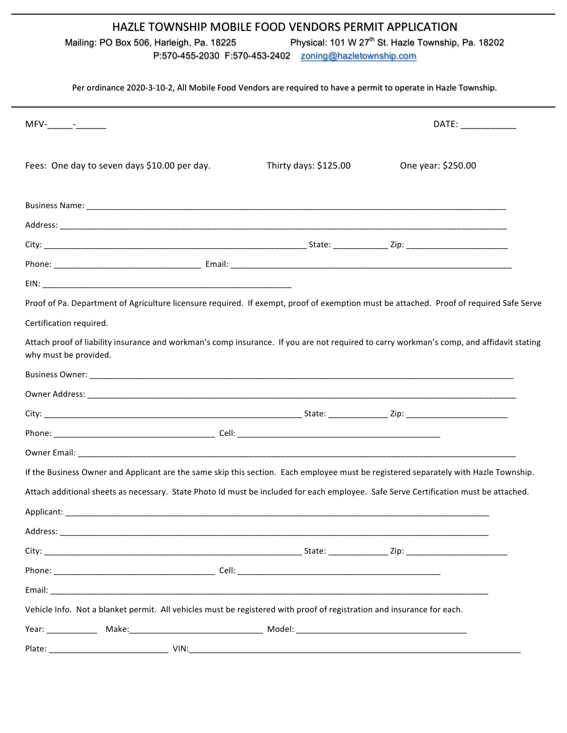## HAZLE TOWNSHIP MOBILE FOOD VENDORS PERMIT APPLICATION

Mailing: PO Box 506, Harleigh, Pa. 18225 Physical: 101 W 27<sup>th</sup> St. Hazle Township, Pa. 18202

P:570-455-2030 F:570-453-2402 zoning@hazletownship.com

## Per ordinance 2020-3-10-2, All Mobile Food Vendors are required to have a permit to operate in Hazle Township.

|                                                                                                                                                                   |                       | DATE: ____________ |  |
|-------------------------------------------------------------------------------------------------------------------------------------------------------------------|-----------------------|--------------------|--|
| Fees: One day to seven days \$10.00 per day.                                                                                                                      | Thirty days: \$125.00 | One year: \$250.00 |  |
|                                                                                                                                                                   |                       |                    |  |
|                                                                                                                                                                   |                       |                    |  |
|                                                                                                                                                                   |                       |                    |  |
|                                                                                                                                                                   |                       |                    |  |
|                                                                                                                                                                   |                       |                    |  |
| Proof of Pa. Department of Agriculture licensure required. If exempt, proof of exemption must be attached. Proof of required Safe Serve                           |                       |                    |  |
| Certification required.                                                                                                                                           |                       |                    |  |
| Attach proof of liability insurance and workman's comp insurance. If you are not required to carry workman's comp, and affidavit stating<br>why must be provided. |                       |                    |  |
|                                                                                                                                                                   |                       |                    |  |
|                                                                                                                                                                   |                       |                    |  |
|                                                                                                                                                                   |                       |                    |  |
|                                                                                                                                                                   |                       |                    |  |
|                                                                                                                                                                   |                       |                    |  |
| If the Business Owner and Applicant are the same skip this section. Each employee must be registered separately with Hazle Township.                              |                       |                    |  |
| Attach additional sheets as necessary. State Photo Id must be included for each employee. Safe Serve Certification must be attached.                              |                       |                    |  |
|                                                                                                                                                                   |                       |                    |  |
|                                                                                                                                                                   |                       |                    |  |
|                                                                                                                                                                   |                       |                    |  |
|                                                                                                                                                                   |                       |                    |  |
|                                                                                                                                                                   |                       |                    |  |
| Vehicle Info. Not a blanket permit. All vehicles must be registered with proof of registration and insurance for each.                                            |                       |                    |  |
|                                                                                                                                                                   |                       |                    |  |
| Plate:<br>VIN:                                                                                                                                                    |                       |                    |  |